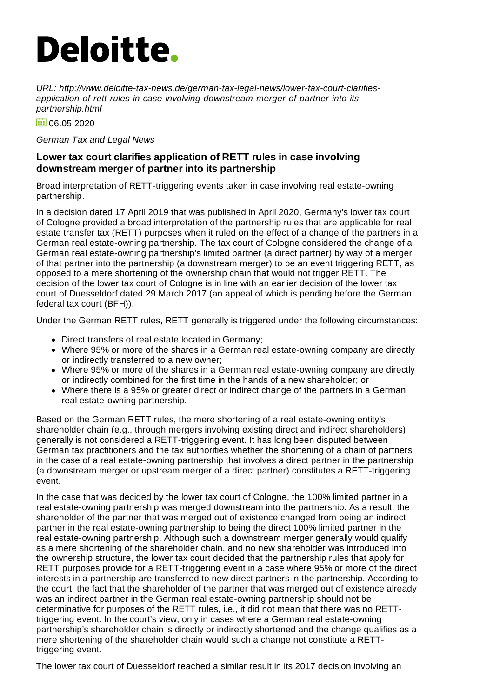# **Deloitte.**

*URL: http://www.deloitte-tax-news.de/german-tax-legal-news/lower-tax-court-clarifiesapplication-of-rett-rules-in-case-involving-downstream-merger-of-partner-into-itspartnership.html*

面 06.05.2020

#### *German Tax and Legal News*

### **Lower tax court clarifies application of RETT rules in case involving downstream merger of partner into its partnership**

Broad interpretation of RETT-triggering events taken in case involving real estate-owning partnership.

In a decision dated 17 April 2019 that was published in April 2020, Germany's lower tax court of Cologne provided a broad interpretation of the partnership rules that are applicable for real estate transfer tax (RETT) purposes when it ruled on the effect of a change of the partners in a German real estate-owning partnership. The tax court of Cologne considered the change of a German real estate-owning partnership's limited partner (a direct partner) by way of a merger of that partner into the partnership (a downstream merger) to be an event triggering RETT, as opposed to a mere shortening of the ownership chain that would not trigger RETT. The decision of the lower tax court of Cologne is in line with an earlier decision of the lower tax court of Duesseldorf dated 29 March 2017 (an appeal of which is pending before the German federal tax court (BFH)).

Under the German RETT rules, RETT generally is triggered under the following circumstances:

- Direct transfers of real estate located in Germany;
- Where 95% or more of the shares in a German real estate-owning company are directly or indirectly transferred to a new owner;
- Where 95% or more of the shares in a German real estate-owning company are directly or indirectly combined for the first time in the hands of a new shareholder; or
- Where there is a 95% or greater direct or indirect change of the partners in a German real estate-owning partnership.

Based on the German RETT rules, the mere shortening of a real estate-owning entity's shareholder chain (e.g., through mergers involving existing direct and indirect shareholders) generally is not considered a RETT-triggering event. It has long been disputed between German tax practitioners and the tax authorities whether the shortening of a chain of partners in the case of a real estate-owning partnership that involves a direct partner in the partnership (a downstream merger or upstream merger of a direct partner) constitutes a RETT-triggering event.

In the case that was decided by the lower tax court of Cologne, the 100% limited partner in a real estate-owning partnership was merged downstream into the partnership. As a result, the shareholder of the partner that was merged out of existence changed from being an indirect partner in the real estate-owning partnership to being the direct 100% limited partner in the real estate-owning partnership. Although such a downstream merger generally would qualify as a mere shortening of the shareholder chain, and no new shareholder was introduced into the ownership structure, the lower tax court decided that the partnership rules that apply for RETT purposes provide for a RETT-triggering event in a case where 95% or more of the direct interests in a partnership are transferred to new direct partners in the partnership. According to the court, the fact that the shareholder of the partner that was merged out of existence already was an indirect partner in the German real estate-owning partnership should not be determinative for purposes of the RETT rules, i.e., it did not mean that there was no RETTtriggering event. In the court's view, only in cases where a German real estate-owning partnership's shareholder chain is directly or indirectly shortened and the change qualifies as a mere shortening of the shareholder chain would such a change not constitute a RETTtriggering event.

The lower tax court of Duesseldorf reached a similar result in its 2017 decision involving an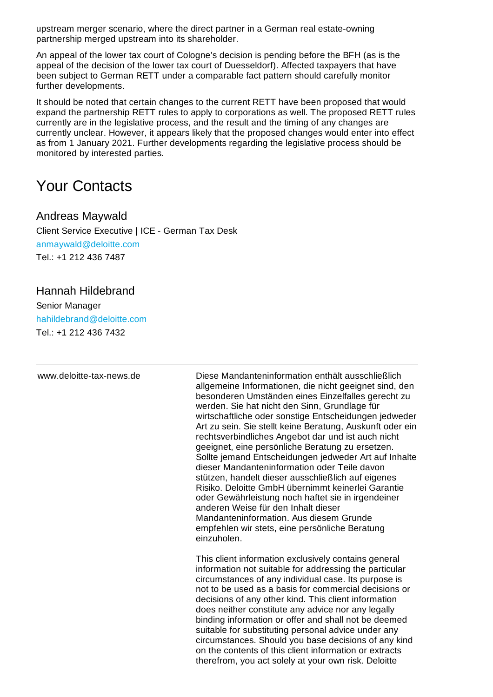upstream merger scenario, where the direct partner in a German real estate-owning partnership merged upstream into its shareholder.

An appeal of the lower tax court of Cologne's decision is pending before the BFH (as is the appeal of the decision of the lower tax court of Duesseldorf). Affected taxpayers that have been subject to German RETT under a comparable fact pattern should carefully monitor further developments.

It should be noted that certain changes to the current RETT have been proposed that would expand the partnership RETT rules to apply to corporations as well. The proposed RETT rules currently are in the legislative process, and the result and the timing of any changes are currently unclear. However, it appears likely that the proposed changes would enter into effect as from 1 January 2021. Further developments regarding the legislative process should be monitored by interested parties.

## Your Contacts

## Andreas Maywald

Client Service Executive | ICE - German Tax Desk [anmaywald@deloitte.com](mailto:anmaywald@deloitte.com) Tel.: +1 212 436 [7487](tel:+1 212 436 7487)

## Hannah Hildebrand

Senior Manager [hahildebrand@deloitte.com](mailto:hahildebrand@deloitte.com) Tel.: +1 212 436 [7432](tel:+1 212 436 7432)

www.deloitte-tax-news.de Diese Mandanteninformation enthält ausschließlich allgemeine Informationen, die nicht geeignet sind, den besonderen Umständen eines Einzelfalles gerecht zu werden. Sie hat nicht den Sinn, Grundlage für wirtschaftliche oder sonstige Entscheidungen jedweder Art zu sein. Sie stellt keine Beratung, Auskunft oder ein rechtsverbindliches Angebot dar und ist auch nicht geeignet, eine persönliche Beratung zu ersetzen. Sollte jemand Entscheidungen jedweder Art auf Inhalte dieser Mandanteninformation oder Teile davon stützen, handelt dieser ausschließlich auf eigenes Risiko. Deloitte GmbH übernimmt keinerlei Garantie oder Gewährleistung noch haftet sie in irgendeiner anderen Weise für den Inhalt dieser Mandanteninformation. Aus diesem Grunde empfehlen wir stets, eine persönliche Beratung einzuholen. This client information exclusively contains general information not suitable for addressing the particular circumstances of any individual case. Its purpose is

not to be used as a basis for commercial decisions or decisions of any other kind. This client information does neither constitute any advice nor any legally binding information or offer and shall not be deemed suitable for substituting personal advice under any circumstances. Should you base decisions of any kind on the contents of this client information or extracts therefrom, you act solely at your own risk. Deloitte